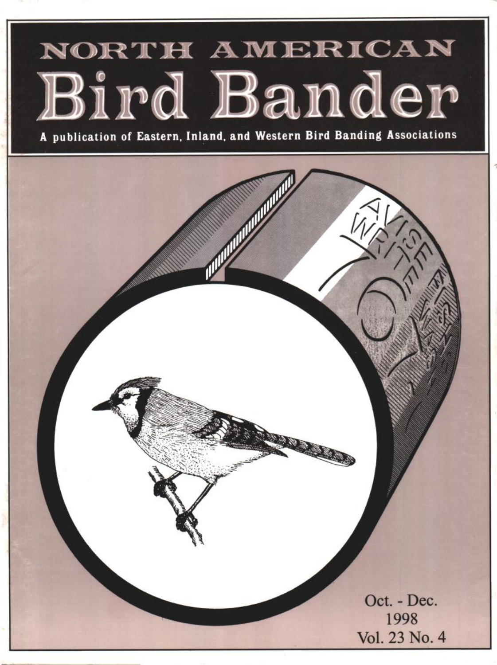# NORTH AMERICAN Bird Bander

A publication of Eastern, Inland, and Western Bird Banding Associations

**Oct. - Dec. 1998 Vol. 23 No. 4**